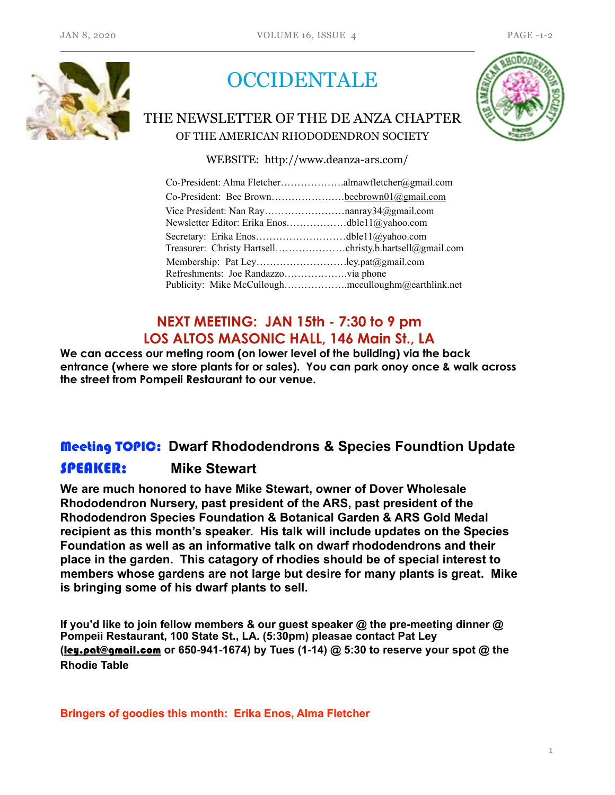

# **OCCIDENTALE**

# THE NEWSLETTER OF THE DE ANZA CHAPTER OF THE AMERICAN RHODODENDRON SOCIETY



WEBSITE: http://www.deanza-ars.com/

| Co-President: Bee Brownbeebrown01@gmail.com   |  |
|-----------------------------------------------|--|
| Newsletter Editor: Erika Enosdble11@yahoo.com |  |
|                                               |  |
|                                               |  |

## **NEXT MEETING: JAN 15th - 7:30 to 9 pm LOS ALTOS MASONIC HALL, 146 Main St., LA**

**We can access our meting room (on lower level of the building) via the back entrance (where we store plants for or sales). You can park onoy once & walk across the street from Pompeii Restaurant to our venue.** 

# Meeting TOPIC: **Dwarf Rhododendrons & Species Foundtion Update**  SPEAKER: **Mike Stewart**

**We are much honored to have Mike Stewart, owner of Dover Wholesale Rhododendron Nursery, past president of the ARS, past president of the Rhododendron Species Foundation & Botanical Garden & ARS Gold Medal recipient as this month's speaker. His talk will include updates on the Species Foundation as well as an informative talk on dwarf rhododendrons and their place in the garden. This catagory of rhodies should be of special interest to members whose gardens are not large but desire for many plants is great. Mike is bringing some of his dwarf plants to sell.** 

**If you'd like to join fellow members & our guest speaker @ the pre-meeting dinner @ Pompeii Restaurant, 100 State St., LA. (5:30pm) pleasae contact Pat Ley (**[ley.pat@gmail.com](mailto:ley.pat@gmail.com) **or 650-941-1674) by Tues (1-14) @ 5:30 to reserve your spot @ the Rhodie Table** 

**Bringers of goodies this month: Erika Enos, Alma Fletcher**